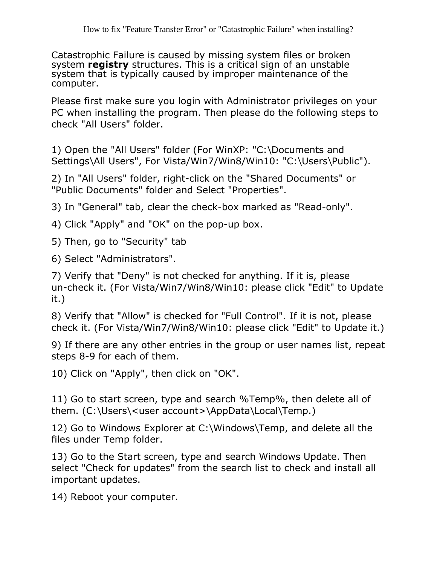Catastrophic Failure is caused by missing system files or broken system **registry** structures. This is a critical sign of an unstable system that is typically caused by improper maintenance of the computer.

Please first make sure you login with Administrator privileges on your PC when installing the program. Then please do the following steps to check "All Users" folder.

1) Open the "All Users" folder (For WinXP: "C:\Documents and Settings\All Users", For Vista/Win7/Win8/Win10: "C:\Users\Public").

2) In "All Users" folder, right-click on the "Shared Documents" or "Public Documents" folder and Select "Properties".

3) In "General" tab, clear the check-box marked as "Read-only".

- 4) Click "Apply" and "OK" on the pop-up box.
- 5) Then, go to "Security" tab

6) Select "Administrators".

7) Verify that "Deny" is not checked for anything. If it is, please un-check it. (For Vista/Win7/Win8/Win10: please click "Edit" to Update it.)

8) Verify that "Allow" is checked for "Full Control". If it is not, please check it. (For Vista/Win7/Win8/Win10: please click "Edit" to Update it.)

9) If there are any other entries in the group or user names list, repeat steps 8-9 for each of them.

10) Click on "Apply", then click on "OK".

11) Go to start screen, type and search %Temp%, then delete all of them. (C:\Users\<user account>\AppData\Local\Temp.)

12) Go to Windows Explorer at C:\Windows\Temp, and delete all the files under Temp folder.

13) Go to the Start screen, type and search Windows Update. Then select "Check for updates" from the search list to check and install all important updates.

14) Reboot your computer.